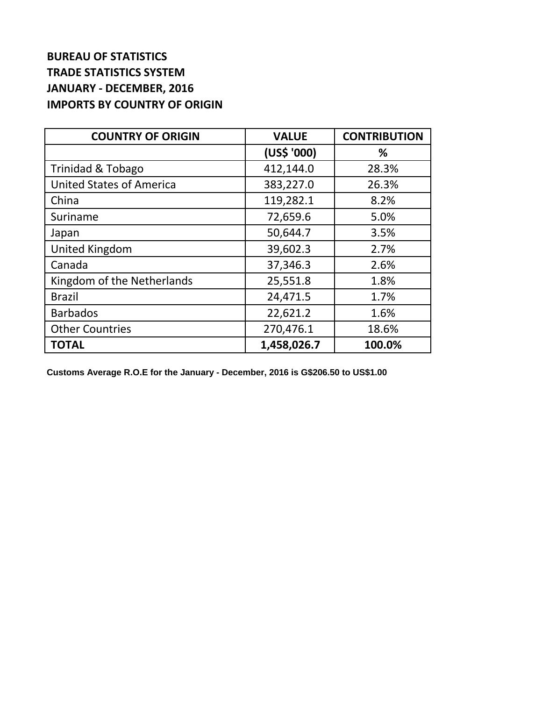## **BUREAU OF STATISTICS TRADE STATISTICS SYSTEM JANUARY - DECEMBER, 2016 IMPORTS BY COUNTRY OF ORIGIN**

| <b>COUNTRY OF ORIGIN</b>        | <b>VALUE</b> | <b>CONTRIBUTION</b> |
|---------------------------------|--------------|---------------------|
|                                 | (US\$ '000)  | ℅                   |
| Trinidad & Tobago               | 412,144.0    | 28.3%               |
| <b>United States of America</b> | 383,227.0    | 26.3%               |
| China                           | 119,282.1    | 8.2%                |
| Suriname                        | 72,659.6     | 5.0%                |
| Japan                           | 50,644.7     | 3.5%                |
| United Kingdom                  | 39,602.3     | 2.7%                |
| Canada                          | 37,346.3     | 2.6%                |
| Kingdom of the Netherlands      | 25,551.8     | 1.8%                |
| <b>Brazil</b>                   | 24,471.5     | 1.7%                |
| <b>Barbados</b>                 | 22,621.2     | 1.6%                |
| <b>Other Countries</b>          | 270,476.1    | 18.6%               |
| <b>TOTAL</b>                    | 1,458,026.7  | 100.0%              |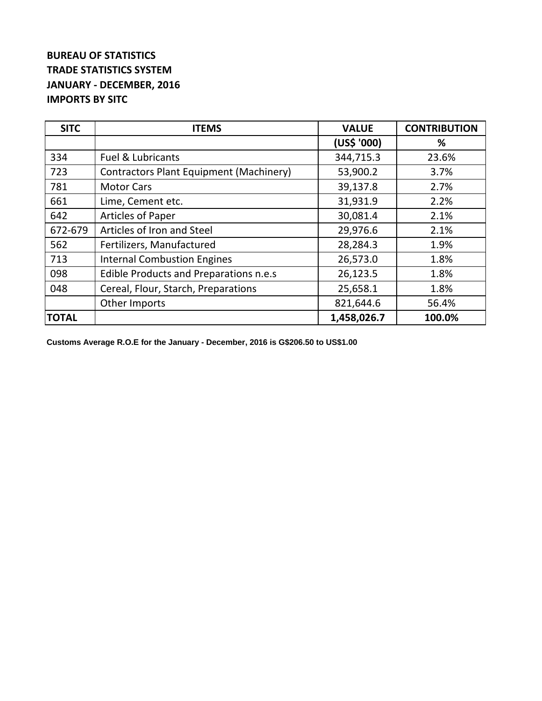## **BUREAU OF STATISTICS TRADE STATISTICS SYSTEM JANUARY - DECEMBER, 2016 IMPORTS BY SITC**

| <b>SITC</b>  | <b>ITEMS</b>                                   | <b>VALUE</b> | <b>CONTRIBUTION</b> |
|--------------|------------------------------------------------|--------------|---------------------|
|              |                                                | (US\$ '000)  | %                   |
| 334          | <b>Fuel &amp; Lubricants</b>                   | 344,715.3    | 23.6%               |
| 723          | <b>Contractors Plant Equipment (Machinery)</b> | 53,900.2     | 3.7%                |
| 781          | <b>Motor Cars</b>                              | 39,137.8     | 2.7%                |
| 661          | Lime, Cement etc.                              | 31,931.9     | 2.2%                |
| 642          | <b>Articles of Paper</b>                       | 30,081.4     | 2.1%                |
| 672-679      | Articles of Iron and Steel                     | 29,976.6     | 2.1%                |
| 562          | Fertilizers, Manufactured                      | 28,284.3     | 1.9%                |
| 713          | <b>Internal Combustion Engines</b>             | 26,573.0     | 1.8%                |
| 098          | Edible Products and Preparations n.e.s         | 26,123.5     | 1.8%                |
| 048          | Cereal, Flour, Starch, Preparations            | 25,658.1     | 1.8%                |
|              | Other Imports                                  | 821,644.6    | 56.4%               |
| <b>TOTAL</b> |                                                | 1,458,026.7  | 100.0%              |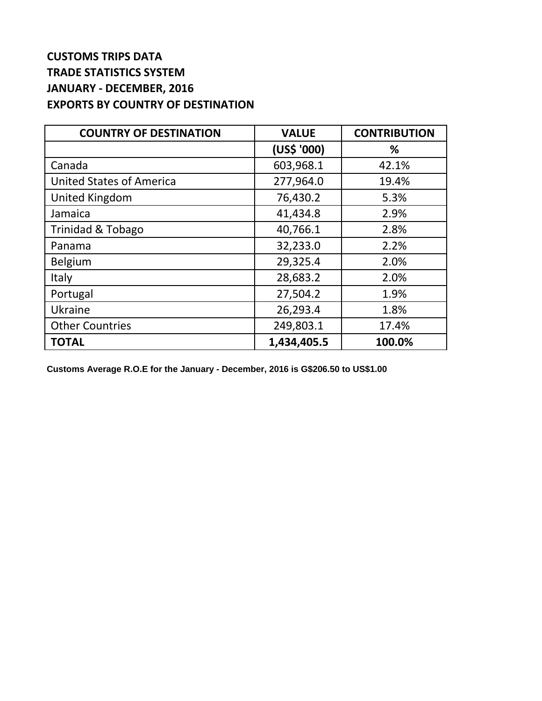## **CUSTOMS TRIPS DATA TRADE STATISTICS SYSTEM JANUARY - DECEMBER, 2016 EXPORTS BY COUNTRY OF DESTINATION**

| <b>COUNTRY OF DESTINATION</b>   | <b>VALUE</b> | <b>CONTRIBUTION</b> |
|---------------------------------|--------------|---------------------|
|                                 | (US\$ '000)  | %                   |
| Canada                          | 603,968.1    | 42.1%               |
| <b>United States of America</b> | 277,964.0    | 19.4%               |
| <b>United Kingdom</b>           | 76,430.2     | 5.3%                |
| Jamaica                         | 41,434.8     | 2.9%                |
| <b>Trinidad &amp; Tobago</b>    | 40,766.1     | 2.8%                |
| Panama                          | 32,233.0     | 2.2%                |
| <b>Belgium</b>                  | 29,325.4     | 2.0%                |
| Italy                           | 28,683.2     | 2.0%                |
| Portugal                        | 27,504.2     | 1.9%                |
| Ukraine                         | 26,293.4     | 1.8%                |
| <b>Other Countries</b>          | 249,803.1    | 17.4%               |
| <b>TOTAL</b>                    | 1,434,405.5  | 100.0%              |